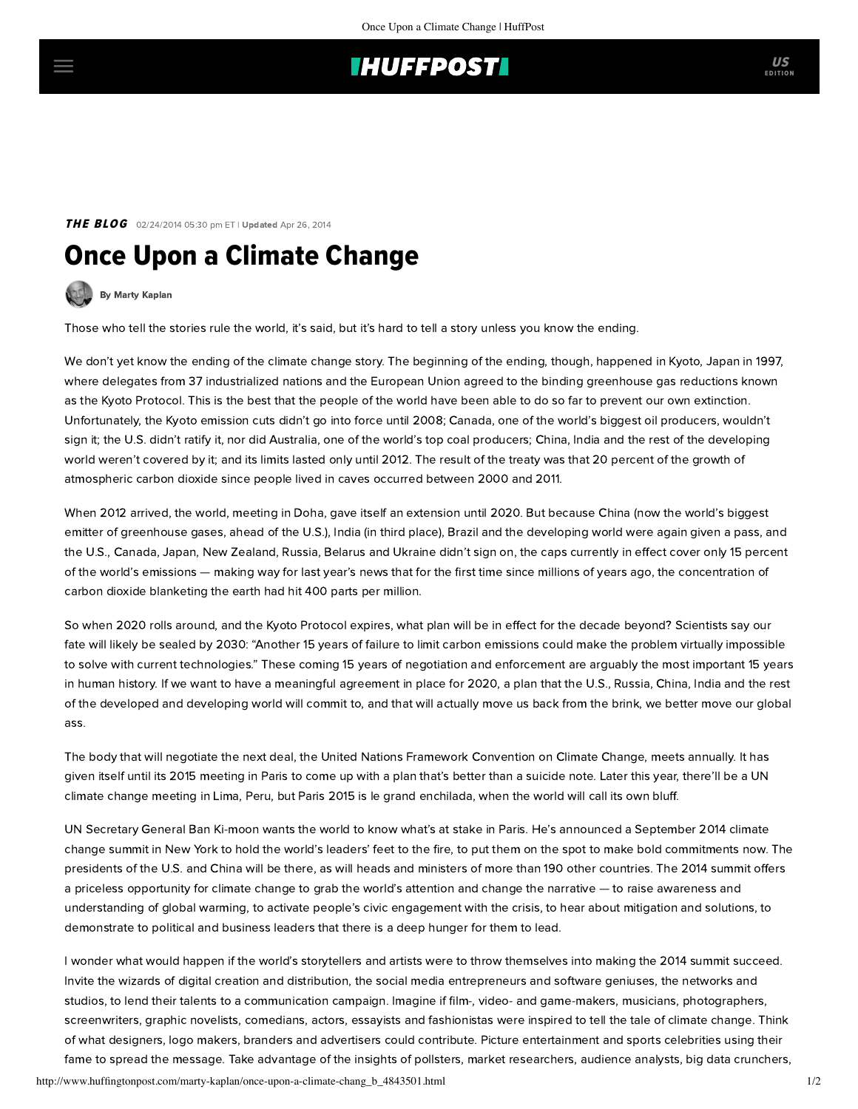## **IHUFFPOSTI**

THE BLOG 02/24/2014 05:30 pm ET | Updated Apr 26, 2014

## Once Upon a Climate Change

[By Marty Kaplan](http://www.huffingtonpost.com/author/marty-kaplan)

Those who tell the stories rule the world, it's said, but it's hard to tell a story unless you know the ending.

We don't yet know the ending of the climate change story. The beginning of the ending, though, happened in Kyoto, Japan in 1997, where delegates from 37 industrialized nations and the European Union agreed to the binding greenhouse gas reductions known as the Kyoto Protocol. This is the best that the people of the world have been able to do so far to prevent our own extinction. Unfortunately, the Kyoto emission cuts didn't go into force until 2008; Canada, one of the world's biggest oil producers, wouldn't sign it; the U.S. didn't ratify it, nor did Australia, one of the world's top coal producers; China, India and the rest of the developing world weren't covered by it; and its limits lasted only until 2012. The result of the treaty was that 20 percent of the growth of atmospheric carbon dioxide since people lived in caves occurred between 2000 and 2011.

When 2012 arrived, the world, meeting in Doha, gave itself an extension until 2020. But because China (now the world's biggest emitter of greenhouse gases, ahead of the U.S.), India (in third place), Brazil and the developing world were again given a pass, and the U.S., Canada, Japan, New Zealand, Russia, Belarus and Ukraine didn't sign on, the caps currently in effect cover only 15 percent of the world's emissions — making way for last year's news that for the first time since millions of years ago, the concentration of carbon dioxide blanketing the earth had hit 400 parts per million.

So when 2020 rolls around, and the Kyoto Protocol expires, what plan will be in effect for the decade beyond? Scientists [say](http://www.nytimes.com/2014/01/17/science/earth/un-says-lag-in-confronting-climate-woes-will-be-costly.html?_r=2) our fate will likely be sealed by 2030: "Another 15 years of failure to limit carbon emissions could make the problem virtually impossible to solve with current technologies." These coming 15 years of negotiation and enforcement are arguably the most important 15 years in human history. If we want to have a meaningful agreement in place for 2020, a plan that the U.S., Russia, China, India and the rest of the developed and developing world will commit to, and that will actually move us back from the brink, we better move our global ass.

The body that will negotiate the next deal, the United Nations Framework Convention on Climate Change, meets annually. It has given itself until its 2015 meeting in Paris to come up with a plan that's better than a suicide note. Later this year, there'll be a UN climate change meeting in Lima, Peru, but Paris 2015 is le grand enchilada, when the world will call its own bluff.

UN Secretary General Ban Ki-moon wants the world to know what's at stake in Paris. He's announced a September 2014 climate [change summit in New York to hold the world's leaders' feet to the fire, to put them on the spot to make bold commitments now.](http://www.un.org/climatechange/summit2014/) The presidents of the U.S. and China will be there, as will heads and ministers of more than 190 other countries. The 2014 summit offers a priceless opportunity for climate change to grab the world's attention and change the narrative — to raise awareness and understanding of global warming, to activate people's civic engagement with the crisis, to hear about mitigation and solutions, to demonstrate to political and business leaders that there is a deep hunger for them to lead.

I wonder what would happen if the world's storytellers and artists were to throw themselves into making the 2014 summit succeed. Invite the wizards of digital creation and distribution, the social media entrepreneurs and software geniuses, the networks and studios, to lend their talents to a communication campaign. Imagine if film-, video- and game-makers, musicians, photographers, screenwriters, graphic novelists, comedians, actors, essayists and fashionistas were inspired to tell the tale of climate change. Think of what designers, logo makers, branders and advertisers could contribute. Picture entertainment and sports celebrities using their fame to spread the message. Take advantage of the insights of pollsters, market researchers, audience analysts, big data crunchers,

http://www.huffingtonpost.com/marty-kaplan/once-upon-a-climate-chang\_b\_4843501.html 1/2